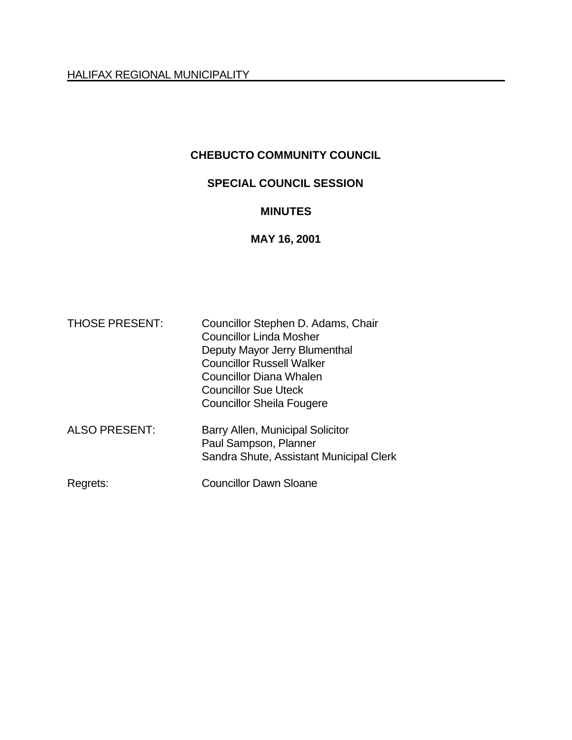## **CHEBUCTO COMMUNITY COUNCIL**

# **SPECIAL COUNCIL SESSION**

#### **MINUTES**

## **MAY 16, 2001**

| <b>THOSE PRESENT:</b> | Councillor Stephen D. Adams, Chair<br><b>Councillor Linda Mosher</b><br>Deputy Mayor Jerry Blumenthal<br><b>Councillor Russell Walker</b><br><b>Councillor Diana Whalen</b><br><b>Councillor Sue Uteck</b><br><b>Councillor Sheila Fougere</b> |
|-----------------------|------------------------------------------------------------------------------------------------------------------------------------------------------------------------------------------------------------------------------------------------|
| <b>ALSO PRESENT:</b>  | Barry Allen, Municipal Solicitor<br>Paul Sampson, Planner<br>Sandra Shute, Assistant Municipal Clerk                                                                                                                                           |
| Regrets:              | <b>Councillor Dawn Sloane</b>                                                                                                                                                                                                                  |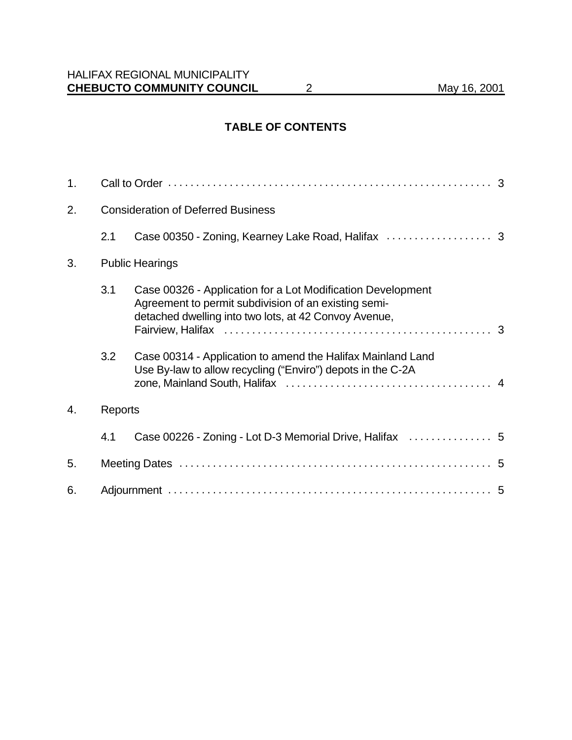### **TABLE OF CONTENTS**

| 1. |         |                                                                                                                                                                              |  |
|----|---------|------------------------------------------------------------------------------------------------------------------------------------------------------------------------------|--|
| 2. |         | <b>Consideration of Deferred Business</b>                                                                                                                                    |  |
|    | 2.1     |                                                                                                                                                                              |  |
| 3. |         | <b>Public Hearings</b>                                                                                                                                                       |  |
|    | 3.1     | Case 00326 - Application for a Lot Modification Development<br>Agreement to permit subdivision of an existing semi-<br>detached dwelling into two lots, at 42 Convoy Avenue, |  |
|    | 3.2     | Case 00314 - Application to amend the Halifax Mainland Land<br>Use By-law to allow recycling ("Enviro") depots in the C-2A                                                   |  |
| 4. | Reports |                                                                                                                                                                              |  |
|    | 4.1     | Case 00226 - Zoning - Lot D-3 Memorial Drive, Halifax  5                                                                                                                     |  |
| 5. |         |                                                                                                                                                                              |  |
| 6. |         |                                                                                                                                                                              |  |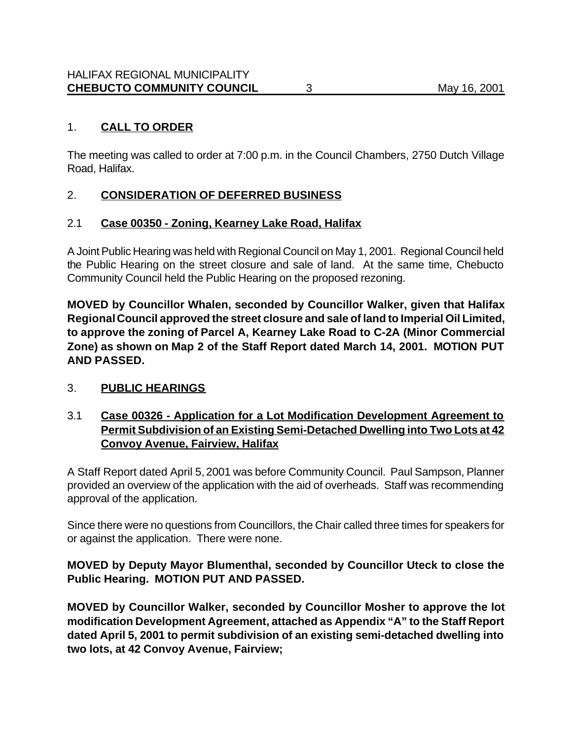### 1. **CALL TO ORDER**

The meeting was called to order at 7:00 p.m. in the Council Chambers, 2750 Dutch Village Road, Halifax.

# 2. **CONSIDERATION OF DEFERRED BUSINESS**

### 2.1 **Case 00350 - Zoning, Kearney Lake Road, Halifax**

A Joint Public Hearing was held with Regional Council on May 1, 2001. Regional Council held the Public Hearing on the street closure and sale of land. At the same time, Chebucto Community Council held the Public Hearing on the proposed rezoning.

**MOVED by Councillor Whalen, seconded by Councillor Walker, given that Halifax Regional Council approved the street closure and sale of land to Imperial Oil Limited, to approve the zoning of Parcel A, Kearney Lake Road to C-2A (Minor Commercial Zone) as shown on Map 2 of the Staff Report dated March 14, 2001. MOTION PUT AND PASSED.**

#### 3. **PUBLIC HEARINGS**

### 3.1 **Case 00326 - Application for a Lot Modification Development Agreement to Permit Subdivision of an Existing Semi-Detached Dwelling into Two Lots at 42 Convoy Avenue, Fairview, Halifax**

A Staff Report dated April 5, 2001 was before Community Council. Paul Sampson, Planner provided an overview of the application with the aid of overheads. Staff was recommending approval of the application.

Since there were no questions from Councillors, the Chair called three times for speakers for or against the application. There were none.

### **MOVED by Deputy Mayor Blumenthal, seconded by Councillor Uteck to close the Public Hearing. MOTION PUT AND PASSED.**

**MOVED by Councillor Walker, seconded by Councillor Mosher to approve the lot modification Development Agreement, attached as Appendix "A" to the Staff Report dated April 5, 2001 to permit subdivision of an existing semi-detached dwelling into two lots, at 42 Convoy Avenue, Fairview;**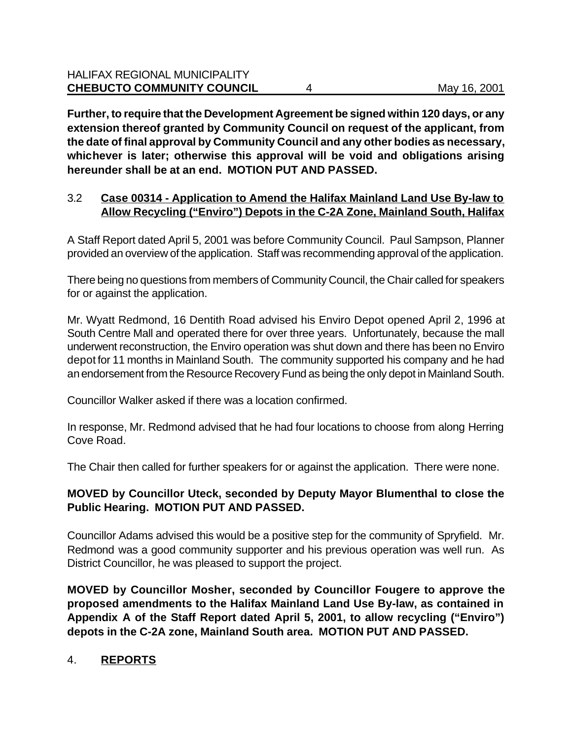**Further, to require that the Development Agreement be signed within 120 days, or any extension thereof granted by Community Council on request of the applicant, from the date of final approval by Community Council and any other bodies as necessary, whichever is later; otherwise this approval will be void and obligations arising hereunder shall be at an end. MOTION PUT AND PASSED.**

### 3.2 **Case 00314 - Application to Amend the Halifax Mainland Land Use By-law to Allow Recycling ("Enviro") Depots in the C-2A Zone, Mainland South, Halifax**

A Staff Report dated April 5, 2001 was before Community Council. Paul Sampson, Planner provided an overview of the application. Staff was recommending approval of the application.

There being no questions from members of Community Council, the Chair called for speakers for or against the application.

Mr. Wyatt Redmond, 16 Dentith Road advised his Enviro Depot opened April 2, 1996 at South Centre Mall and operated there for over three years. Unfortunately, because the mall underwent reconstruction, the Enviro operation was shut down and there has been no Enviro depot for 11 months in Mainland South.The community supported his company and he had an endorsement from the Resource Recovery Fund as being the only depot in Mainland South.

Councillor Walker asked if there was a location confirmed.

In response, Mr. Redmond advised that he had four locations to choose from along Herring Cove Road.

The Chair then called for further speakers for or against the application. There were none.

## **MOVED by Councillor Uteck, seconded by Deputy Mayor Blumenthal to close the Public Hearing. MOTION PUT AND PASSED.**

Councillor Adams advised this would be a positive step for the community of Spryfield. Mr. Redmond was a good community supporter and his previous operation was well run. As District Councillor, he was pleased to support the project.

**MOVED by Councillor Mosher, seconded by Councillor Fougere to approve the proposed amendments to the Halifax Mainland Land Use By-law, as contained in Appendix A of the Staff Report dated April 5, 2001, to allow recycling ("Enviro") depots in the C-2A zone, Mainland South area. MOTION PUT AND PASSED.**

# 4. **REPORTS**